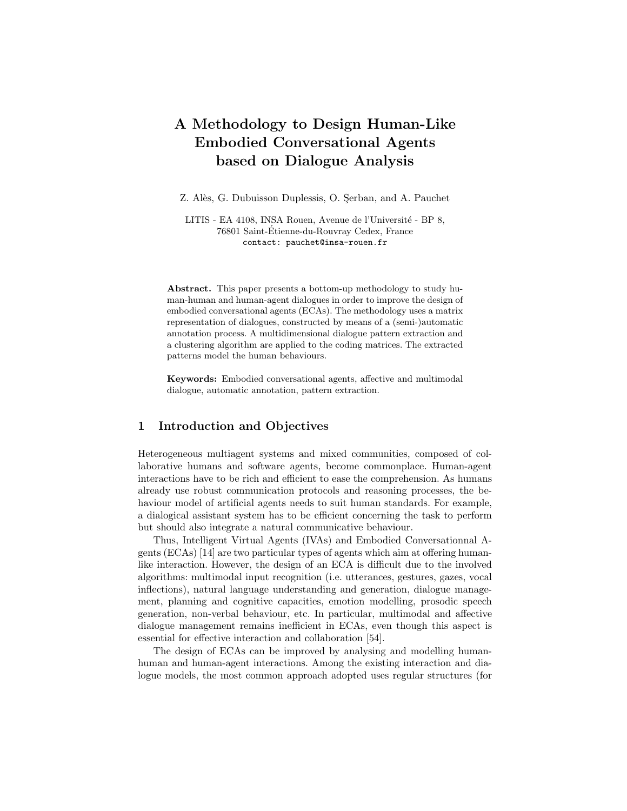# A Methodology to Design Human-Like Embodied Conversational Agents based on Dialogue Analysis

Z. Alès, G. Dubuisson Duplessis, O. Serban, and A. Pauchet

LITIS - EA 4108, INSA Rouen, Avenue de l'Université - BP 8, 76801 Saint-Etienne-du-Rouvray Cedex, France ´ contact: pauchet@insa-rouen.fr

Abstract. This paper presents a bottom-up methodology to study human-human and human-agent dialogues in order to improve the design of embodied conversational agents (ECAs). The methodology uses a matrix representation of dialogues, constructed by means of a (semi-)automatic annotation process. A multidimensional dialogue pattern extraction and a clustering algorithm are applied to the coding matrices. The extracted patterns model the human behaviours.

Keywords: Embodied conversational agents, affective and multimodal dialogue, automatic annotation, pattern extraction.

## 1 Introduction and Objectives

Heterogeneous multiagent systems and mixed communities, composed of collaborative humans and software agents, become commonplace. Human-agent interactions have to be rich and efficient to ease the comprehension. As humans already use robust communication protocols and reasoning processes, the behaviour model of artificial agents needs to suit human standards. For example, a dialogical assistant system has to be efficient concerning the task to perform but should also integrate a natural communicative behaviour.

Thus, Intelligent Virtual Agents (IVAs) and Embodied Conversationnal Agents (ECAs) [14] are two particular types of agents which aim at offering humanlike interaction. However, the design of an ECA is difficult due to the involved algorithms: multimodal input recognition (i.e. utterances, gestures, gazes, vocal inflections), natural language understanding and generation, dialogue management, planning and cognitive capacities, emotion modelling, prosodic speech generation, non-verbal behaviour, etc. In particular, multimodal and affective dialogue management remains inefficient in ECAs, even though this aspect is essential for effective interaction and collaboration [54].

The design of ECAs can be improved by analysing and modelling humanhuman and human-agent interactions. Among the existing interaction and dialogue models, the most common approach adopted uses regular structures (for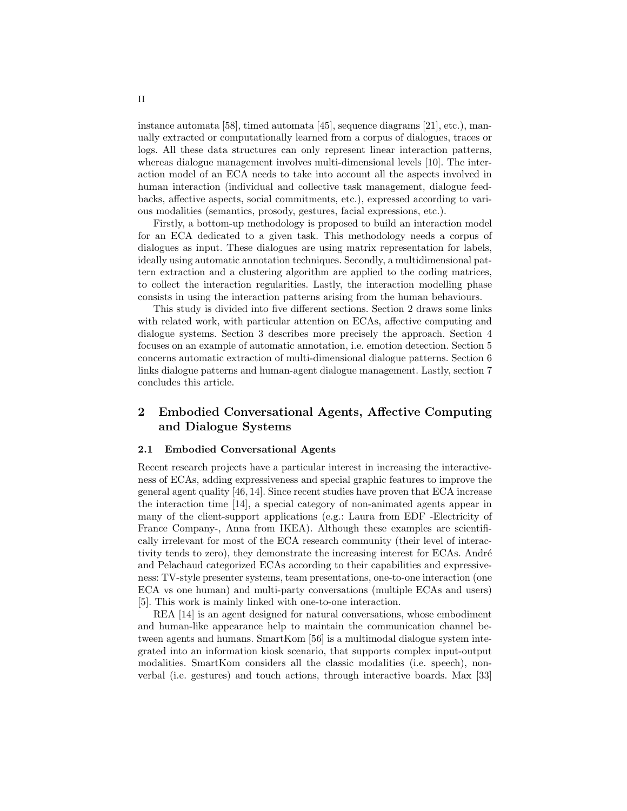instance automata [58], timed automata [45], sequence diagrams [21], etc.), manually extracted or computationally learned from a corpus of dialogues, traces or logs. All these data structures can only represent linear interaction patterns, whereas dialogue management involves multi-dimensional levels [10]. The interaction model of an ECA needs to take into account all the aspects involved in human interaction (individual and collective task management, dialogue feedbacks, affective aspects, social commitments, etc.), expressed according to various modalities (semantics, prosody, gestures, facial expressions, etc.).

Firstly, a bottom-up methodology is proposed to build an interaction model for an ECA dedicated to a given task. This methodology needs a corpus of dialogues as input. These dialogues are using matrix representation for labels, ideally using automatic annotation techniques. Secondly, a multidimensional pattern extraction and a clustering algorithm are applied to the coding matrices, to collect the interaction regularities. Lastly, the interaction modelling phase consists in using the interaction patterns arising from the human behaviours.

This study is divided into five different sections. Section 2 draws some links with related work, with particular attention on ECAs, affective computing and dialogue systems. Section 3 describes more precisely the approach. Section 4 focuses on an example of automatic annotation, i.e. emotion detection. Section 5 concerns automatic extraction of multi-dimensional dialogue patterns. Section 6 links dialogue patterns and human-agent dialogue management. Lastly, section 7 concludes this article.

# 2 Embodied Conversational Agents, Affective Computing and Dialogue Systems

## 2.1 Embodied Conversational Agents

Recent research projects have a particular interest in increasing the interactiveness of ECAs, adding expressiveness and special graphic features to improve the general agent quality [46, 14]. Since recent studies have proven that ECA increase the interaction time [14], a special category of non-animated agents appear in many of the client-support applications (e.g.: Laura from EDF -Electricity of France Company-, Anna from IKEA). Although these examples are scientifically irrelevant for most of the ECA research community (their level of interactivity tends to zero), they demonstrate the increasing interest for ECAs. André and Pelachaud categorized ECAs according to their capabilities and expressiveness: TV-style presenter systems, team presentations, one-to-one interaction (one ECA vs one human) and multi-party conversations (multiple ECAs and users) [5]. This work is mainly linked with one-to-one interaction.

REA [14] is an agent designed for natural conversations, whose embodiment and human-like appearance help to maintain the communication channel between agents and humans. SmartKom [56] is a multimodal dialogue system integrated into an information kiosk scenario, that supports complex input-output modalities. SmartKom considers all the classic modalities (i.e. speech), nonverbal (i.e. gestures) and touch actions, through interactive boards. Max [33]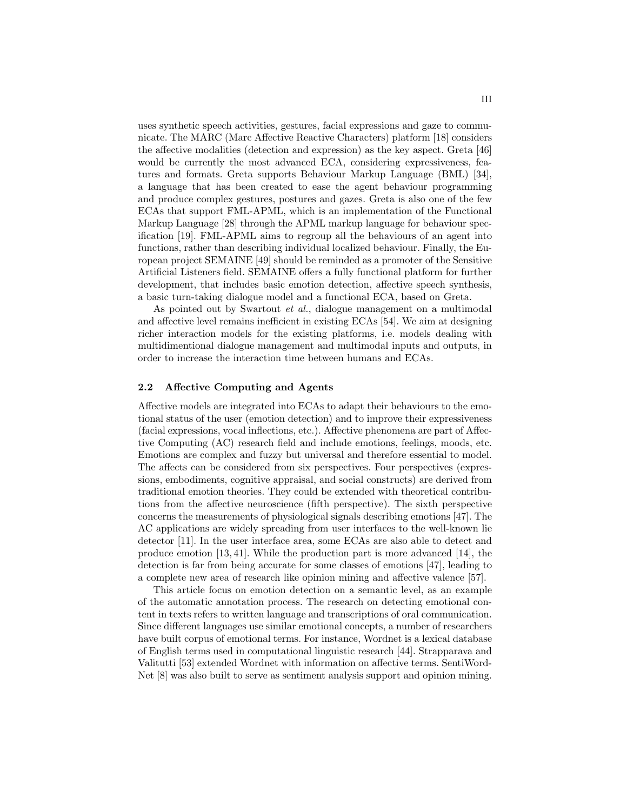uses synthetic speech activities, gestures, facial expressions and gaze to communicate. The MARC (Marc Affective Reactive Characters) platform [18] considers the affective modalities (detection and expression) as the key aspect. Greta [46] would be currently the most advanced ECA, considering expressiveness, features and formats. Greta supports Behaviour Markup Language (BML) [34], a language that has been created to ease the agent behaviour programming and produce complex gestures, postures and gazes. Greta is also one of the few ECAs that support FML-APML, which is an implementation of the Functional Markup Language [28] through the APML markup language for behaviour specification [19]. FML-APML aims to regroup all the behaviours of an agent into functions, rather than describing individual localized behaviour. Finally, the European project SEMAINE [49] should be reminded as a promoter of the Sensitive Artificial Listeners field. SEMAINE offers a fully functional platform for further development, that includes basic emotion detection, affective speech synthesis, a basic turn-taking dialogue model and a functional ECA, based on Greta.

As pointed out by Swartout *et al.*, dialogue management on a multimodal and affective level remains inefficient in existing ECAs [54]. We aim at designing richer interaction models for the existing platforms, i.e. models dealing with multidimentional dialogue management and multimodal inputs and outputs, in order to increase the interaction time between humans and ECAs.

## 2.2 Affective Computing and Agents

Affective models are integrated into ECAs to adapt their behaviours to the emotional status of the user (emotion detection) and to improve their expressiveness (facial expressions, vocal inflections, etc.). Affective phenomena are part of Affective Computing (AC) research field and include emotions, feelings, moods, etc. Emotions are complex and fuzzy but universal and therefore essential to model. The affects can be considered from six perspectives. Four perspectives (expressions, embodiments, cognitive appraisal, and social constructs) are derived from traditional emotion theories. They could be extended with theoretical contributions from the affective neuroscience (fifth perspective). The sixth perspective concerns the measurements of physiological signals describing emotions [47]. The AC applications are widely spreading from user interfaces to the well-known lie detector [11]. In the user interface area, some ECAs are also able to detect and produce emotion [13, 41]. While the production part is more advanced [14], the detection is far from being accurate for some classes of emotions [47], leading to a complete new area of research like opinion mining and affective valence [57].

This article focus on emotion detection on a semantic level, as an example of the automatic annotation process. The research on detecting emotional content in texts refers to written language and transcriptions of oral communication. Since different languages use similar emotional concepts, a number of researchers have built corpus of emotional terms. For instance, Wordnet is a lexical database of English terms used in computational linguistic research [44]. Strapparava and Valitutti [53] extended Wordnet with information on affective terms. SentiWord-Net [8] was also built to serve as sentiment analysis support and opinion mining.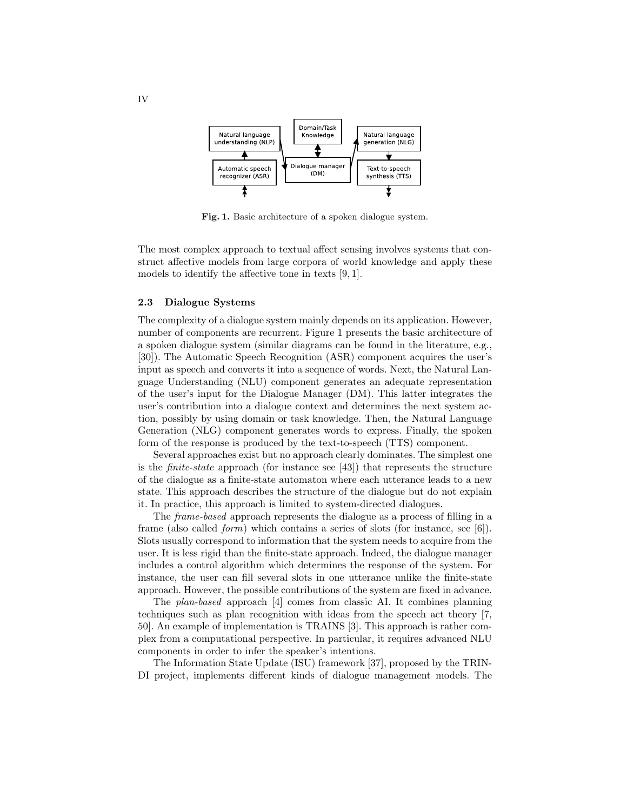

Fig. 1. Basic architecture of a spoken dialogue system.

The most complex approach to textual affect sensing involves systems that construct affective models from large corpora of world knowledge and apply these models to identify the affective tone in texts [9, 1].

#### 2.3 Dialogue Systems

The complexity of a dialogue system mainly depends on its application. However, number of components are recurrent. Figure 1 presents the basic architecture of a spoken dialogue system (similar diagrams can be found in the literature, e.g., [30]). The Automatic Speech Recognition (ASR) component acquires the user's input as speech and converts it into a sequence of words. Next, the Natural Language Understanding (NLU) component generates an adequate representation of the user's input for the Dialogue Manager (DM). This latter integrates the user's contribution into a dialogue context and determines the next system action, possibly by using domain or task knowledge. Then, the Natural Language Generation (NLG) component generates words to express. Finally, the spoken form of the response is produced by the text-to-speech (TTS) component.

Several approaches exist but no approach clearly dominates. The simplest one is the *finite-state* approach (for instance see [43]) that represents the structure of the dialogue as a finite-state automaton where each utterance leads to a new state. This approach describes the structure of the dialogue but do not explain it. In practice, this approach is limited to system-directed dialogues.

The frame-based approach represents the dialogue as a process of filling in a frame (also called *form*) which contains a series of slots (for instance, see [6]). Slots usually correspond to information that the system needs to acquire from the user. It is less rigid than the finite-state approach. Indeed, the dialogue manager includes a control algorithm which determines the response of the system. For instance, the user can fill several slots in one utterance unlike the finite-state approach. However, the possible contributions of the system are fixed in advance.

The plan-based approach [4] comes from classic AI. It combines planning techniques such as plan recognition with ideas from the speech act theory [7, 50]. An example of implementation is TRAINS [3]. This approach is rather complex from a computational perspective. In particular, it requires advanced NLU components in order to infer the speaker's intentions.

The Information State Update (ISU) framework [37], proposed by the TRIN-DI project, implements different kinds of dialogue management models. The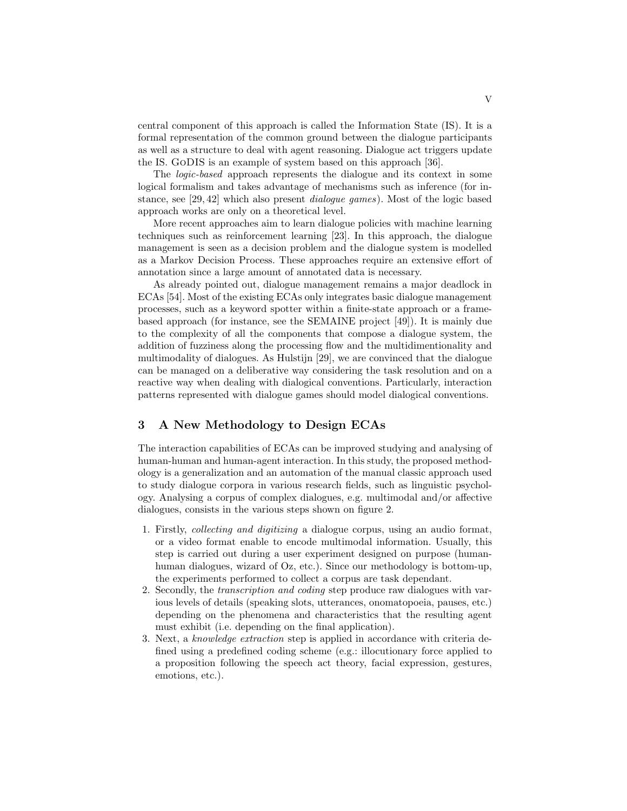central component of this approach is called the Information State (IS). It is a formal representation of the common ground between the dialogue participants as well as a structure to deal with agent reasoning. Dialogue act triggers update the IS. GoDIS is an example of system based on this approach [36].

The logic-based approach represents the dialogue and its context in some logical formalism and takes advantage of mechanisms such as inference (for instance, see [29, 42] which also present dialogue games). Most of the logic based approach works are only on a theoretical level.

More recent approaches aim to learn dialogue policies with machine learning techniques such as reinforcement learning [23]. In this approach, the dialogue management is seen as a decision problem and the dialogue system is modelled as a Markov Decision Process. These approaches require an extensive effort of annotation since a large amount of annotated data is necessary.

As already pointed out, dialogue management remains a major deadlock in ECAs [54]. Most of the existing ECAs only integrates basic dialogue management processes, such as a keyword spotter within a finite-state approach or a framebased approach (for instance, see the SEMAINE project [49]). It is mainly due to the complexity of all the components that compose a dialogue system, the addition of fuzziness along the processing flow and the multidimentionality and multimodality of dialogues. As Hulstijn [29], we are convinced that the dialogue can be managed on a deliberative way considering the task resolution and on a reactive way when dealing with dialogical conventions. Particularly, interaction patterns represented with dialogue games should model dialogical conventions.

# 3 A New Methodology to Design ECAs

The interaction capabilities of ECAs can be improved studying and analysing of human-human and human-agent interaction. In this study, the proposed methodology is a generalization and an automation of the manual classic approach used to study dialogue corpora in various research fields, such as linguistic psychology. Analysing a corpus of complex dialogues, e.g. multimodal and/or affective dialogues, consists in the various steps shown on figure 2.

- 1. Firstly, collecting and digitizing a dialogue corpus, using an audio format, or a video format enable to encode multimodal information. Usually, this step is carried out during a user experiment designed on purpose (humanhuman dialogues, wizard of Oz, etc.). Since our methodology is bottom-up, the experiments performed to collect a corpus are task dependant.
- 2. Secondly, the transcription and coding step produce raw dialogues with various levels of details (speaking slots, utterances, onomatopoeia, pauses, etc.) depending on the phenomena and characteristics that the resulting agent must exhibit (i.e. depending on the final application).
- 3. Next, a knowledge extraction step is applied in accordance with criteria defined using a predefined coding scheme (e.g.: illocutionary force applied to a proposition following the speech act theory, facial expression, gestures, emotions, etc.).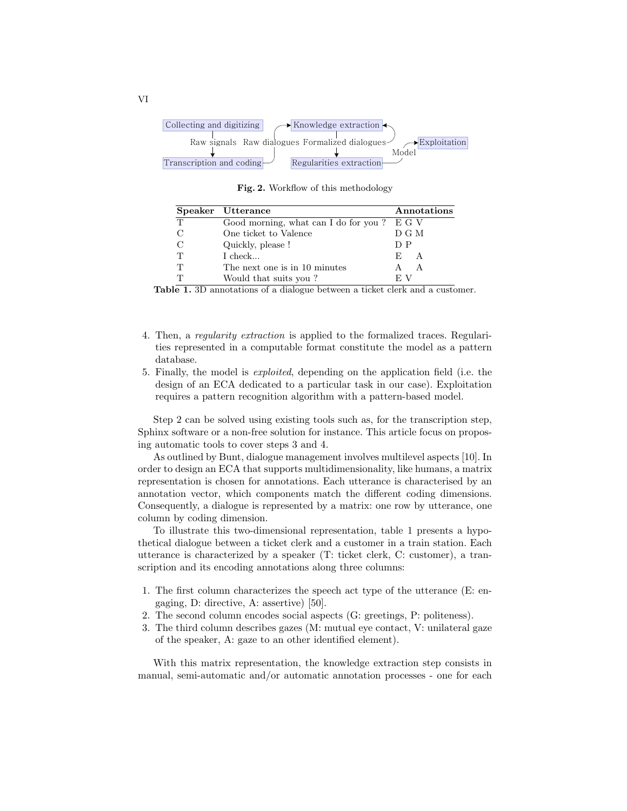

Fig. 2. Workflow of this methodology

|   | Speaker Utterance                            | Annotations |
|---|----------------------------------------------|-------------|
| T | Good morning, what can I do for you? $E G V$ |             |
|   | One ticket to Valence                        | D G M       |
|   | Quickly, please!                             | D P         |
| Т | $I$ check                                    | E A         |
| Т | The next one is in 10 minutes                | A           |
| ௱ | Would that suits you?                        | E V         |

Table 1. 3D annotations of a dialogue between a ticket clerk and a customer.

- 4. Then, a regularity extraction is applied to the formalized traces. Regularities represented in a computable format constitute the model as a pattern database.
- 5. Finally, the model is exploited, depending on the application field (i.e. the design of an ECA dedicated to a particular task in our case). Exploitation requires a pattern recognition algorithm with a pattern-based model.

Step 2 can be solved using existing tools such as, for the transcription step, Sphinx software or a non-free solution for instance. This article focus on proposing automatic tools to cover steps 3 and 4.

As outlined by Bunt, dialogue management involves multilevel aspects [10]. In order to design an ECA that supports multidimensionality, like humans, a matrix representation is chosen for annotations. Each utterance is characterised by an annotation vector, which components match the different coding dimensions. Consequently, a dialogue is represented by a matrix: one row by utterance, one column by coding dimension.

To illustrate this two-dimensional representation, table 1 presents a hypothetical dialogue between a ticket clerk and a customer in a train station. Each utterance is characterized by a speaker (T: ticket clerk, C: customer), a transcription and its encoding annotations along three columns:

- 1. The first column characterizes the speech act type of the utterance (E: engaging, D: directive, A: assertive) [50].
- 2. The second column encodes social aspects (G: greetings, P: politeness).
- 3. The third column describes gazes (M: mutual eye contact, V: unilateral gaze of the speaker, A: gaze to an other identified element).

With this matrix representation, the knowledge extraction step consists in manual, semi-automatic and/or automatic annotation processes - one for each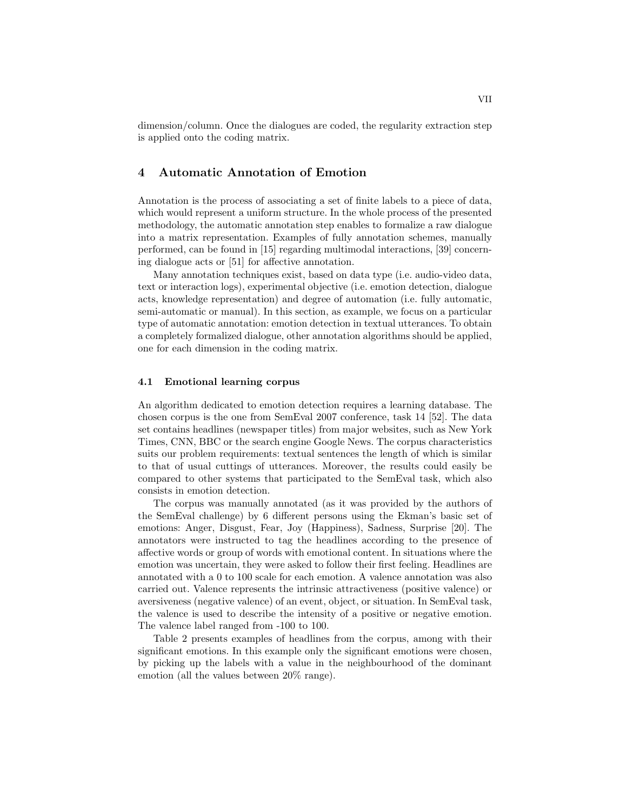dimension/column. Once the dialogues are coded, the regularity extraction step is applied onto the coding matrix.

## 4 Automatic Annotation of Emotion

Annotation is the process of associating a set of finite labels to a piece of data, which would represent a uniform structure. In the whole process of the presented methodology, the automatic annotation step enables to formalize a raw dialogue into a matrix representation. Examples of fully annotation schemes, manually performed, can be found in [15] regarding multimodal interactions, [39] concerning dialogue acts or [51] for affective annotation.

Many annotation techniques exist, based on data type (i.e. audio-video data, text or interaction logs), experimental objective (i.e. emotion detection, dialogue acts, knowledge representation) and degree of automation (i.e. fully automatic, semi-automatic or manual). In this section, as example, we focus on a particular type of automatic annotation: emotion detection in textual utterances. To obtain a completely formalized dialogue, other annotation algorithms should be applied, one for each dimension in the coding matrix.

## 4.1 Emotional learning corpus

An algorithm dedicated to emotion detection requires a learning database. The chosen corpus is the one from SemEval 2007 conference, task 14 [52]. The data set contains headlines (newspaper titles) from major websites, such as New York Times, CNN, BBC or the search engine Google News. The corpus characteristics suits our problem requirements: textual sentences the length of which is similar to that of usual cuttings of utterances. Moreover, the results could easily be compared to other systems that participated to the SemEval task, which also consists in emotion detection.

The corpus was manually annotated (as it was provided by the authors of the SemEval challenge) by 6 different persons using the Ekman's basic set of emotions: Anger, Disgust, Fear, Joy (Happiness), Sadness, Surprise [20]. The annotators were instructed to tag the headlines according to the presence of affective words or group of words with emotional content. In situations where the emotion was uncertain, they were asked to follow their first feeling. Headlines are annotated with a 0 to 100 scale for each emotion. A valence annotation was also carried out. Valence represents the intrinsic attractiveness (positive valence) or aversiveness (negative valence) of an event, object, or situation. In SemEval task, the valence is used to describe the intensity of a positive or negative emotion. The valence label ranged from -100 to 100.

Table 2 presents examples of headlines from the corpus, among with their significant emotions. In this example only the significant emotions were chosen, by picking up the labels with a value in the neighbourhood of the dominant emotion (all the values between 20% range).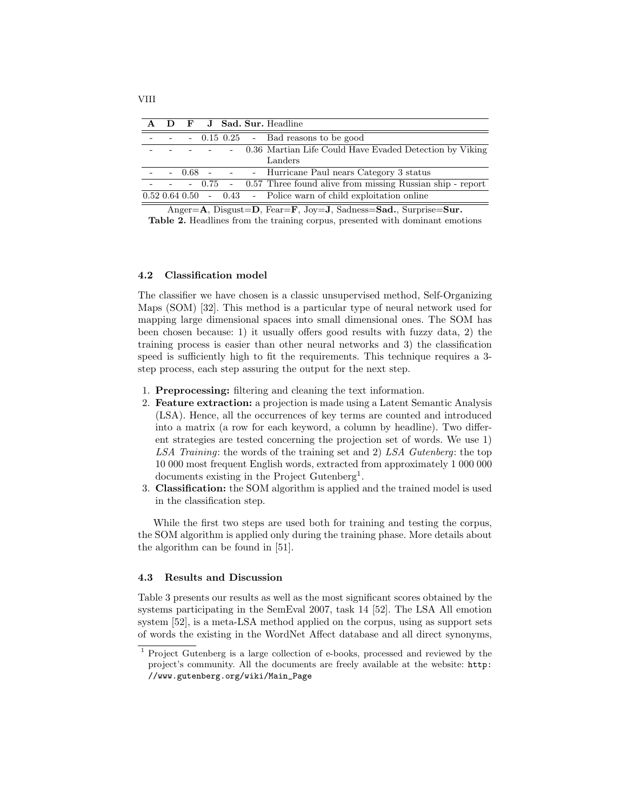|  |  |  | A D F J Sad. Sur. Headline                                         |
|--|--|--|--------------------------------------------------------------------|
|  |  |  | $-0.15$ 0.25 $-$ Bad reasons to be good                            |
|  |  |  | - 0.36 Martian Life Could Have Evaded Detection by Viking          |
|  |  |  | Landers                                                            |
|  |  |  | - 0.68 - - - Hurricane Paul nears Category 3 status                |
|  |  |  | - 0.75 - 0.57 Three found alive from missing Russian ship - report |
|  |  |  | $0.52$ 0.64 0.50 - 0.43 - Police warn of child exploitation online |

Anger=A, Disgust=D, Fear=F, Joy=J, Sadness=Sad., Surprise=Sur. Table 2. Headlines from the training corpus, presented with dominant emotions

#### 4.2 Classification model

The classifier we have chosen is a classic unsupervised method, Self-Organizing Maps (SOM) [32]. This method is a particular type of neural network used for mapping large dimensional spaces into small dimensional ones. The SOM has been chosen because: 1) it usually offers good results with fuzzy data, 2) the training process is easier than other neural networks and 3) the classification speed is sufficiently high to fit the requirements. This technique requires a 3 step process, each step assuring the output for the next step.

- 1. Preprocessing: filtering and cleaning the text information.
- 2. Feature extraction: a projection is made using a Latent Semantic Analysis (LSA). Hence, all the occurrences of key terms are counted and introduced into a matrix (a row for each keyword, a column by headline). Two different strategies are tested concerning the projection set of words. We use 1) LSA Training: the words of the training set and 2) LSA Gutenberg: the top 10 000 most frequent English words, extracted from approximately 1 000 000 documents existing in the Project Gutenberg<sup>1</sup>.
- 3. Classification: the SOM algorithm is applied and the trained model is used in the classification step.

While the first two steps are used both for training and testing the corpus, the SOM algorithm is applied only during the training phase. More details about the algorithm can be found in [51].

## 4.3 Results and Discussion

Table 3 presents our results as well as the most significant scores obtained by the systems participating in the SemEval 2007, task 14 [52]. The LSA All emotion system [52], is a meta-LSA method applied on the corpus, using as support sets of words the existing in the WordNet Affect database and all direct synonyms,

<sup>1</sup> Project Gutenberg is a large collection of e-books, processed and reviewed by the project's community. All the documents are freely available at the website: http: //www.gutenberg.org/wiki/Main\_Page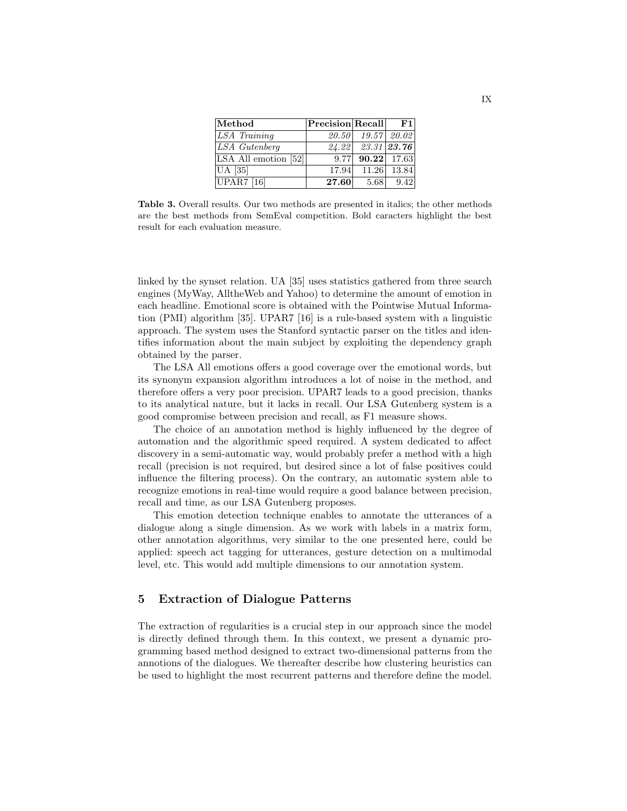| Method               | $P$ recision Recall |                         | $ {\bf F1} $  |
|----------------------|---------------------|-------------------------|---------------|
| LSA Training         | 20.50               |                         | $19.57$ 20.02 |
| LSA Gutenberg        |                     | $24.22$ $23.31$ $23.76$ |               |
| LSA All emotion [52] |                     | $9.77$ 90.22 17.63      |               |
| <b>UA</b> [35]       |                     | 17.94 11.26 13.84       |               |
| <b>UPAR7</b> [16]    | 27.60               | 5.68                    | 9.42          |

Table 3. Overall results. Our two methods are presented in italics; the other methods are the best methods from SemEval competition. Bold caracters highlight the best result for each evaluation measure.

linked by the synset relation. UA [35] uses statistics gathered from three search engines (MyWay, AlltheWeb and Yahoo) to determine the amount of emotion in each headline. Emotional score is obtained with the Pointwise Mutual Information (PMI) algorithm [35]. UPAR7 [16] is a rule-based system with a linguistic approach. The system uses the Stanford syntactic parser on the titles and identifies information about the main subject by exploiting the dependency graph obtained by the parser.

The LSA All emotions offers a good coverage over the emotional words, but its synonym expansion algorithm introduces a lot of noise in the method, and therefore offers a very poor precision. UPAR7 leads to a good precision, thanks to its analytical nature, but it lacks in recall. Our LSA Gutenberg system is a good compromise between precision and recall, as F1 measure shows.

The choice of an annotation method is highly influenced by the degree of automation and the algorithmic speed required. A system dedicated to affect discovery in a semi-automatic way, would probably prefer a method with a high recall (precision is not required, but desired since a lot of false positives could influence the filtering process). On the contrary, an automatic system able to recognize emotions in real-time would require a good balance between precision, recall and time, as our LSA Gutenberg proposes.

This emotion detection technique enables to annotate the utterances of a dialogue along a single dimension. As we work with labels in a matrix form, other annotation algorithms, very similar to the one presented here, could be applied: speech act tagging for utterances, gesture detection on a multimodal level, etc. This would add multiple dimensions to our annotation system.

## 5 Extraction of Dialogue Patterns

The extraction of regularities is a crucial step in our approach since the model is directly defined through them. In this context, we present a dynamic programming based method designed to extract two-dimensional patterns from the annotions of the dialogues. We thereafter describe how clustering heuristics can be used to highlight the most recurrent patterns and therefore define the model.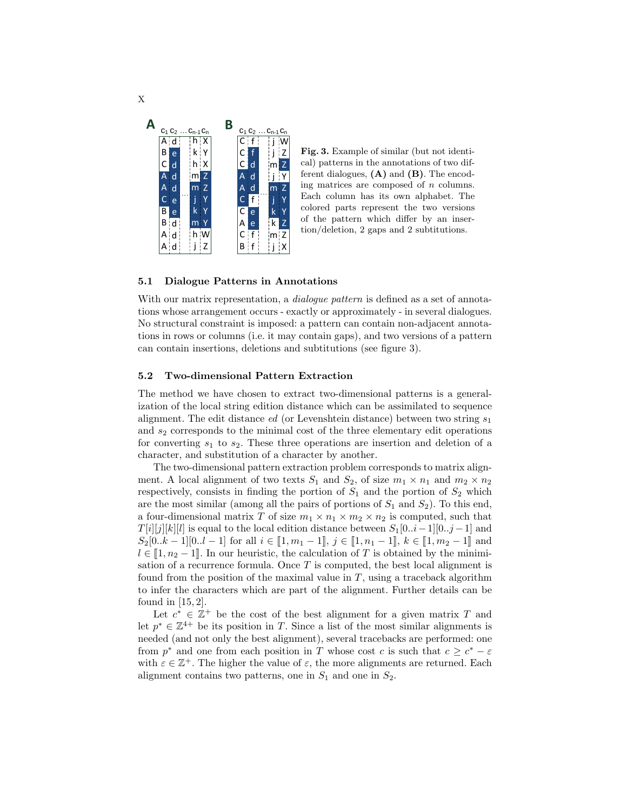

Fig. 3. Example of similar (but not identical) patterns in the annotations of two different dialogues,  $(A)$  and  $(B)$ . The encoding matrices are composed of  $n$  columns. Each column has its own alphabet. The colored parts represent the two versions of the pattern which differ by an insertion/deletion, 2 gaps and 2 subtitutions.

#### 5.1 Dialogue Patterns in Annotations

With our matrix representation, a *dialogue pattern* is defined as a set of annotations whose arrangement occurs - exactly or approximately - in several dialogues. No structural constraint is imposed: a pattern can contain non-adjacent annotations in rows or columns (i.e. it may contain gaps), and two versions of a pattern can contain insertions, deletions and subtitutions (see figure 3).

### 5.2 Two-dimensional Pattern Extraction

The method we have chosen to extract two-dimensional patterns is a generalization of the local string edition distance which can be assimilated to sequence alignment. The edit distance *ed* (or Levenshtein distance) between two string  $s_1$ and  $s_2$  corresponds to the minimal cost of the three elementary edit operations for converting  $s_1$  to  $s_2$ . These three operations are insertion and deletion of a character, and substitution of a character by another.

The two-dimensional pattern extraction problem corresponds to matrix alignment. A local alignment of two texts  $S_1$  and  $S_2$ , of size  $m_1 \times n_1$  and  $m_2 \times n_2$ respectively, consists in finding the portion of  $S_1$  and the portion of  $S_2$  which are the most similar (among all the pairs of portions of  $S_1$  and  $S_2$ ). To this end, a four-dimensional matrix T of size  $m_1 \times n_1 \times m_2 \times n_2$  is computed, such that  $T[i][j][k][l]$  is equal to the local edition distance between  $S_1[0..i-1][0..j-1]$  and  $S_2[0..k-1][0..l-1]$  for all  $i \in [1, m_1-1], j \in [1, n_1-1], k \in [1, m_2-1]$  and  $l \in [1, n_2 - 1]$ . In our heuristic, the calculation of T is obtained by the minimisation of a recurrence formula. Once  $T$  is computed, the best local alignment is found from the position of the maximal value in  $T$ , using a traceback algorithm to infer the characters which are part of the alignment. Further details can be found in [15, 2].

Let  $c^* \in \mathbb{Z}^+$  be the cost of the best alignment for a given matrix T and let  $p^* \in \mathbb{Z}^{4+}$  be its position in T. Since a list of the most similar alignments is needed (and not only the best alignment), several tracebacks are performed: one from  $p^*$  and one from each position in T whose cost c is such that  $c \geq c^* - \varepsilon$ with  $\varepsilon \in \mathbb{Z}^+$ . The higher the value of  $\varepsilon$ , the more alignments are returned. Each alignment contains two patterns, one in  $S_1$  and one in  $S_2$ .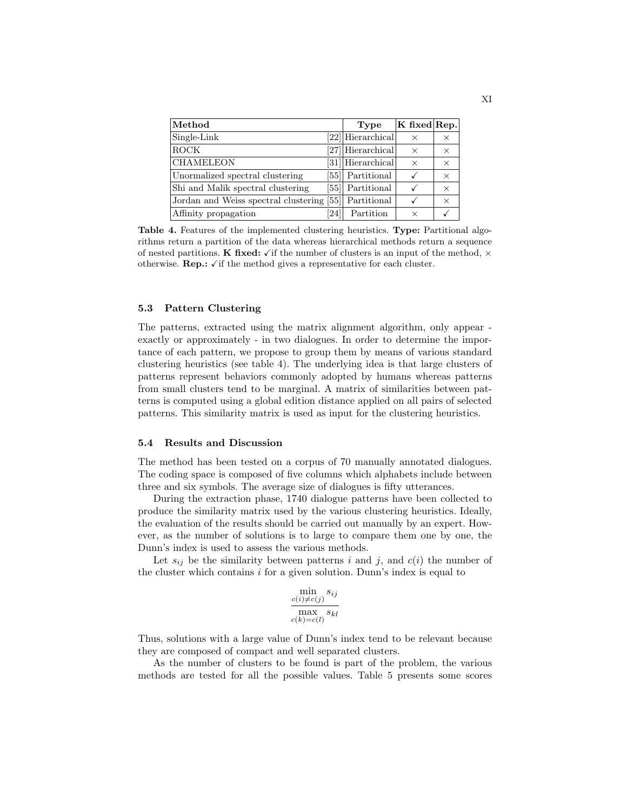| Method                                                | Type              | $K$ fixed Rep. |          |
|-------------------------------------------------------|-------------------|----------------|----------|
| Single-Link                                           | [22] Hierarchical | $\times$       | X        |
| <b>ROCK</b>                                           | [27] Hierarchical | $\times$       | $\times$ |
| <b>CHAMELEON</b>                                      | [31] Hierarchical | $\times$       | $\times$ |
| Unormalized spectral clustering                       | [55] Partitional  |                | $\times$ |
| Shi and Malik spectral clustering                     | [55] Partitional  |                | $\times$ |
| Jordan and Weiss spectral clustering [55] Partitional |                   | $\checkmark$   | $\times$ |
| Affinity propagation<br>241                           | Partition         | X              |          |

Table 4. Features of the implemented clustering heuristics. Type: Partitional algorithms return a partition of the data whereas hierarchical methods return a sequence of nested partitions. K fixed:  $\checkmark$  if the number of clusters is an input of the method,  $\times$ otherwise. **Rep.:**  $\checkmark$  if the method gives a representative for each cluster.

## 5.3 Pattern Clustering

The patterns, extracted using the matrix alignment algorithm, only appear exactly or approximately - in two dialogues. In order to determine the importance of each pattern, we propose to group them by means of various standard clustering heuristics (see table 4). The underlying idea is that large clusters of patterns represent behaviors commonly adopted by humans whereas patterns from small clusters tend to be marginal. A matrix of similarities between patterns is computed using a global edition distance applied on all pairs of selected patterns. This similarity matrix is used as input for the clustering heuristics.

#### 5.4 Results and Discussion

The method has been tested on a corpus of 70 manually annotated dialogues. The coding space is composed of five columns which alphabets include between three and six symbols. The average size of dialogues is fifty utterances.

During the extraction phase, 1740 dialogue patterns have been collected to produce the similarity matrix used by the various clustering heuristics. Ideally, the evaluation of the results should be carried out manually by an expert. However, as the number of solutions is to large to compare them one by one, the Dunn's index is used to assess the various methods.

Let  $s_{ij}$  be the similarity between patterns i and j, and  $c(i)$  the number of the cluster which contains  $i$  for a given solution. Dunn's index is equal to

$$
\frac{\min\limits_{c(i)\neq c(j)} s_{ij}}{\max\limits_{c(k)=c(l)} s_{kl}}
$$

Thus, solutions with a large value of Dunn's index tend to be relevant because they are composed of compact and well separated clusters.

As the number of clusters to be found is part of the problem, the various methods are tested for all the possible values. Table 5 presents some scores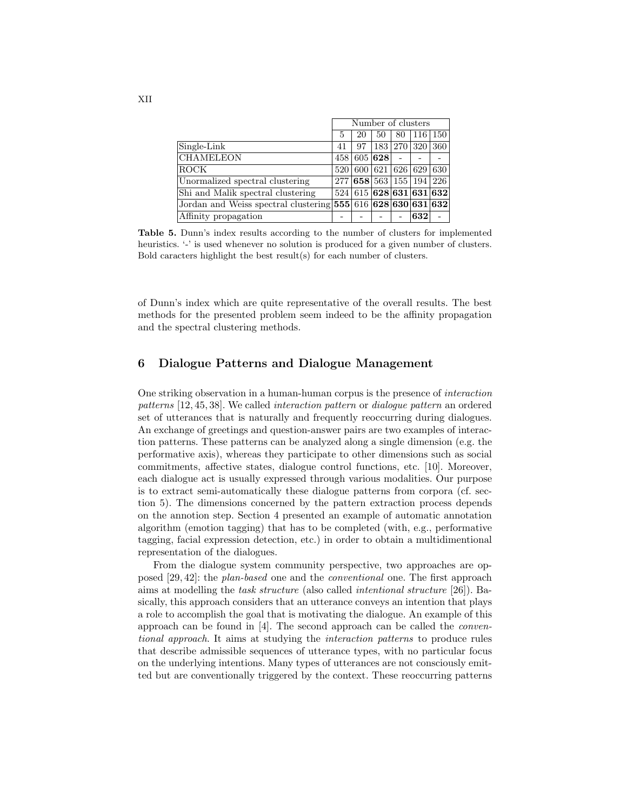|                                                                | Number of clusters |    |                 |                 |                         |     |
|----------------------------------------------------------------|--------------------|----|-----------------|-----------------|-------------------------|-----|
|                                                                | 5                  | 20 | 50              | 80              | $\vert$ 116 $\vert$     | 150 |
| Single-Link                                                    | 41                 | 97 |                 | 183   270   320 |                         | 360 |
| <b>CHAMELEON</b>                                               |                    |    | 458 605 628     |                 |                         |     |
| ROCK                                                           | 520                |    | 600 621 626 629 |                 |                         | 630 |
| Unormalized spectral clustering                                | 277 l              |    |                 |                 | 658 563 155 194         | 226 |
| Shi and Malik spectral clustering                              |                    |    |                 |                 | 524 615 628 631 631 632 |     |
| Jordan and Weiss spectral clustering $555/616/628/630/631/632$ |                    |    |                 |                 |                         |     |
| Affinity propagation                                           |                    |    |                 |                 | 632                     |     |

Table 5. Dunn's index results according to the number of clusters for implemented heuristics. '-' is used whenever no solution is produced for a given number of clusters. Bold caracters highlight the best result(s) for each number of clusters.

of Dunn's index which are quite representative of the overall results. The best methods for the presented problem seem indeed to be the affinity propagation and the spectral clustering methods.

## 6 Dialogue Patterns and Dialogue Management

One striking observation in a human-human corpus is the presence of interaction patterns [12, 45, 38]. We called interaction pattern or dialogue pattern an ordered set of utterances that is naturally and frequently reoccurring during dialogues. An exchange of greetings and question-answer pairs are two examples of interaction patterns. These patterns can be analyzed along a single dimension (e.g. the performative axis), whereas they participate to other dimensions such as social commitments, affective states, dialogue control functions, etc. [10]. Moreover, each dialogue act is usually expressed through various modalities. Our purpose is to extract semi-automatically these dialogue patterns from corpora (cf. section 5). The dimensions concerned by the pattern extraction process depends on the annotion step. Section 4 presented an example of automatic annotation algorithm (emotion tagging) that has to be completed (with, e.g., performative tagging, facial expression detection, etc.) in order to obtain a multidimentional representation of the dialogues.

From the dialogue system community perspective, two approaches are opposed [29, 42]: the plan-based one and the conventional one. The first approach aims at modelling the task structure (also called intentional structure [26]). Basically, this approach considers that an utterance conveys an intention that plays a role to accomplish the goal that is motivating the dialogue. An example of this approach can be found in [4]. The second approach can be called the conventional approach. It aims at studying the interaction patterns to produce rules that describe admissible sequences of utterance types, with no particular focus on the underlying intentions. Many types of utterances are not consciously emitted but are conventionally triggered by the context. These reoccurring patterns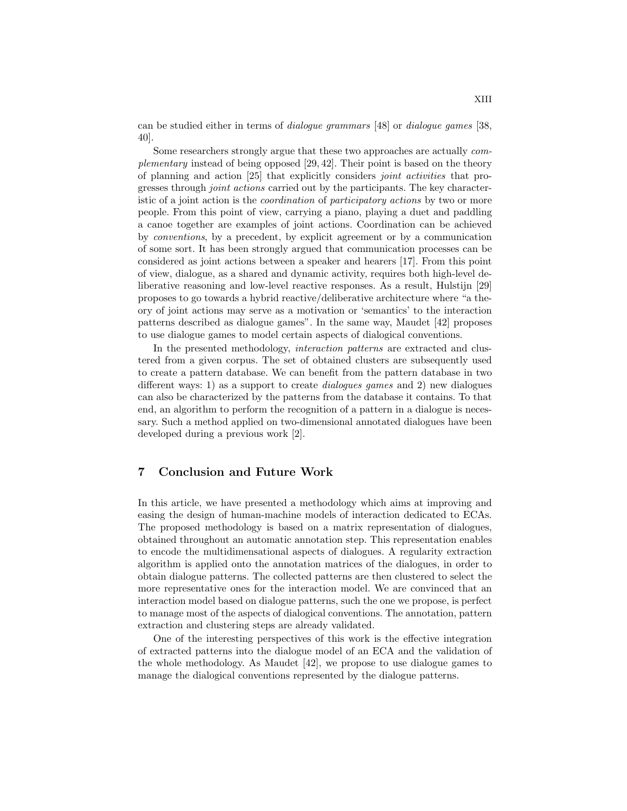can be studied either in terms of dialogue grammars [48] or dialogue games [38, 40].

Some researchers strongly argue that these two approaches are actually complementary instead of being opposed [29, 42]. Their point is based on the theory of planning and action [25] that explicitly considers joint activities that progresses through joint actions carried out by the participants. The key characteristic of a joint action is the *coordination* of *participatory actions* by two or more people. From this point of view, carrying a piano, playing a duet and paddling a canoe together are examples of joint actions. Coordination can be achieved by conventions, by a precedent, by explicit agreement or by a communication of some sort. It has been strongly argued that communication processes can be considered as joint actions between a speaker and hearers [17]. From this point of view, dialogue, as a shared and dynamic activity, requires both high-level deliberative reasoning and low-level reactive responses. As a result, Hulstijn [29] proposes to go towards a hybrid reactive/deliberative architecture where "a theory of joint actions may serve as a motivation or 'semantics' to the interaction patterns described as dialogue games". In the same way, Maudet [42] proposes to use dialogue games to model certain aspects of dialogical conventions.

In the presented methodology, interaction patterns are extracted and clustered from a given corpus. The set of obtained clusters are subsequently used to create a pattern database. We can benefit from the pattern database in two different ways: 1) as a support to create dialogues games and 2) new dialogues can also be characterized by the patterns from the database it contains. To that end, an algorithm to perform the recognition of a pattern in a dialogue is necessary. Such a method applied on two-dimensional annotated dialogues have been developed during a previous work [2].

# 7 Conclusion and Future Work

In this article, we have presented a methodology which aims at improving and easing the design of human-machine models of interaction dedicated to ECAs. The proposed methodology is based on a matrix representation of dialogues, obtained throughout an automatic annotation step. This representation enables to encode the multidimensational aspects of dialogues. A regularity extraction algorithm is applied onto the annotation matrices of the dialogues, in order to obtain dialogue patterns. The collected patterns are then clustered to select the more representative ones for the interaction model. We are convinced that an interaction model based on dialogue patterns, such the one we propose, is perfect to manage most of the aspects of dialogical conventions. The annotation, pattern extraction and clustering steps are already validated.

One of the interesting perspectives of this work is the effective integration of extracted patterns into the dialogue model of an ECA and the validation of the whole methodology. As Maudet [42], we propose to use dialogue games to manage the dialogical conventions represented by the dialogue patterns.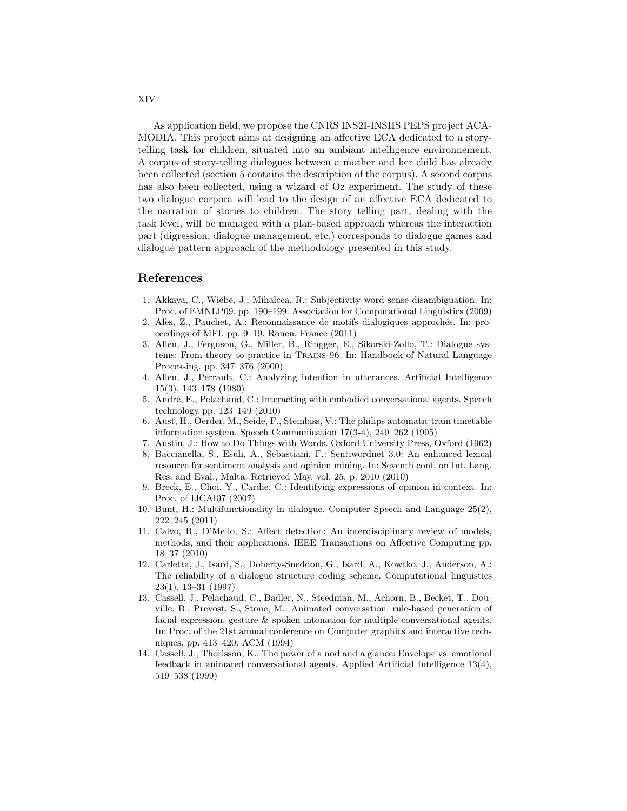As application field, we propose the CNRS INS2I-INSHS PEPS project ACA-MODIA. This project aims at designing an affective ECA dedicated to a storytelling task for children, situated into an ambiant intelligence environnement. A corpus of story-telling dialogues between a mother and her child has already been collected (section 5 contains the description of the corpus). A second corpus has also been collected, using a wizard of Oz experiment. The study of these two dialogue corpora will lead to the design of an affective ECA dedicated to the narration of stories to children. The story telling part, dealing with the task level, will be managed with a plan-based approach whereas the interaction part (digression, dialogue management, etc.) corresponds to dialogue games and dialogue pattern approach of the methodology presented in this study.

# References

- 1. Akkaya, C., Wiebe, J., Mihalcea, R.: Subjectivity word sense disambiguation. In: Proc. of EMNLP09. pp. 190–199. Association for Computational Linguistics (2009)
- 2. Al`es, Z., Pauchet, A.: Reconnaissance de motifs dialogiques approch´es. In: proceedings of MFI. pp. 9–19. Rouen, France (2011)
- 3. Allen, J., Ferguson, G., Miller, B., Ringger, E., Sikorski-Zollo, T.: Dialogue systems: From theory to practice in Trains-96. In: Handbook of Natural Language Processing. pp. 347–376 (2000)
- 4. Allen, J., Perrault, C.: Analyzing intention in utterances. Artificial Intelligence 15(3), 143–178 (1980)
- 5. André, E., Pelachaud, C.: Interacting with embodied conversational agents. Speech technology pp. 123–149 (2010)
- 6. Aust, H., Oerder, M., Seide, F., Steinbiss, V.: The philips automatic train timetable information system. Speech Communication 17(3-4), 249–262 (1995)
- 7. Austin, J.: How to Do Things with Words. Oxford University Press, Oxford (1962)
- 8. Baccianella, S., Esuli, A., Sebastiani, F.: Sentiwordnet 3.0: An enhanced lexical resource for sentiment analysis and opinion mining. In: Seventh conf. on Int. Lang. Res. and Eval., Malta. Retrieved May. vol. 25, p. 2010 (2010)
- 9. Breck, E., Choi, Y., Cardie, C.: Identifying expressions of opinion in context. In: Proc. of IJCAI07 (2007)
- 10. Bunt, H.: Multifunctionality in dialogue. Computer Speech and Language 25(2), 222–245 (2011)
- 11. Calvo, R., D'Mello, S.: Affect detection: An interdisciplinary review of models, methods, and their applications. IEEE Transactions on Affective Computing pp. 18–37 (2010)
- 12. Carletta, J., Isard, S., Doherty-Sneddon, G., Isard, A., Kowtko, J., Anderson, A.: The reliability of a dialogue structure coding scheme. Computational linguistics 23(1), 13–31 (1997)
- 13. Cassell, J., Pelachaud, C., Badler, N., Steedman, M., Achorn, B., Becket, T., Douville, B., Prevost, S., Stone, M.: Animated conversation: rule-based generation of facial expression, gesture & spoken intonation for multiple conversational agents. In: Proc. of the 21st annual conference on Computer graphics and interactive techniques. pp. 413–420. ACM (1994)
- 14. Cassell, J., Thorisson, K.: The power of a nod and a glance: Envelope vs. emotional feedback in animated conversational agents. Applied Artificial Intelligence 13(4), 519–538 (1999)

XIV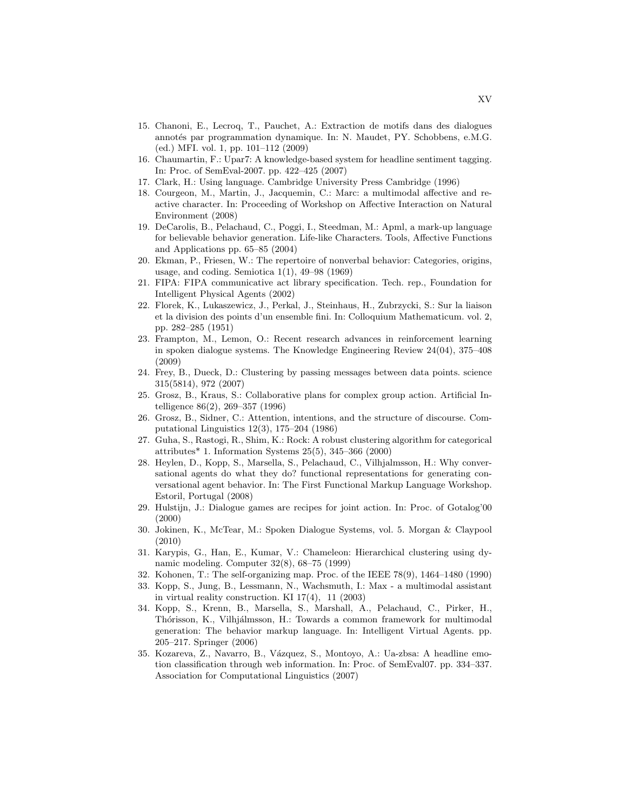- 15. Chanoni, E., Lecroq, T., Pauchet, A.: Extraction de motifs dans des dialogues annotés par programmation dynamique. In: N. Maudet, PY. Schobbens, e.M.G. (ed.) MFI. vol. 1, pp. 101–112 (2009)
- 16. Chaumartin, F.: Upar7: A knowledge-based system for headline sentiment tagging. In: Proc. of SemEval-2007. pp. 422–425 (2007)
- 17. Clark, H.: Using language. Cambridge University Press Cambridge (1996)
- 18. Courgeon, M., Martin, J., Jacquemin, C.: Marc: a multimodal affective and reactive character. In: Proceeding of Workshop on Affective Interaction on Natural Environment (2008)
- 19. DeCarolis, B., Pelachaud, C., Poggi, I., Steedman, M.: Apml, a mark-up language for believable behavior generation. Life-like Characters. Tools, Affective Functions and Applications pp. 65–85 (2004)
- 20. Ekman, P., Friesen, W.: The repertoire of nonverbal behavior: Categories, origins, usage, and coding. Semiotica  $1(1)$ ,  $49-98$   $(1969)$
- 21. FIPA: FIPA communicative act library specification. Tech. rep., Foundation for Intelligent Physical Agents (2002)
- 22. Florek, K., Lukaszewicz, J., Perkal, J., Steinhaus, H., Zubrzycki, S.: Sur la liaison et la division des points d'un ensemble fini. In: Colloquium Mathematicum. vol. 2, pp. 282–285 (1951)
- 23. Frampton, M., Lemon, O.: Recent research advances in reinforcement learning in spoken dialogue systems. The Knowledge Engineering Review 24(04), 375–408 (2009)
- 24. Frey, B., Dueck, D.: Clustering by passing messages between data points. science 315(5814), 972 (2007)
- 25. Grosz, B., Kraus, S.: Collaborative plans for complex group action. Artificial Intelligence 86(2), 269–357 (1996)
- 26. Grosz, B., Sidner, C.: Attention, intentions, and the structure of discourse. Computational Linguistics 12(3), 175–204 (1986)
- 27. Guha, S., Rastogi, R., Shim, K.: Rock: A robust clustering algorithm for categorical attributes\* 1. Information Systems 25(5), 345–366 (2000)
- 28. Heylen, D., Kopp, S., Marsella, S., Pelachaud, C., Vilhjalmsson, H.: Why conversational agents do what they do? functional representations for generating conversational agent behavior. In: The First Functional Markup Language Workshop. Estoril, Portugal (2008)
- 29. Hulstijn, J.: Dialogue games are recipes for joint action. In: Proc. of Gotalog'00 (2000)
- 30. Jokinen, K., McTear, M.: Spoken Dialogue Systems, vol. 5. Morgan & Claypool (2010)
- 31. Karypis, G., Han, E., Kumar, V.: Chameleon: Hierarchical clustering using dynamic modeling. Computer 32(8), 68–75 (1999)
- 32. Kohonen, T.: The self-organizing map. Proc. of the IEEE 78(9), 1464–1480 (1990)
- 33. Kopp, S., Jung, B., Lessmann, N., Wachsmuth, I.: Max a multimodal assistant in virtual reality construction. KI 17(4), 11 (2003)
- 34. Kopp, S., Krenn, B., Marsella, S., Marshall, A., Pelachaud, C., Pirker, H., Thórisson, K., Vilhjálmsson, H.: Towards a common framework for multimodal generation: The behavior markup language. In: Intelligent Virtual Agents. pp. 205–217. Springer (2006)
- 35. Kozareva, Z., Navarro, B., Vázquez, S., Montoyo, A.: Ua-zbsa: A headline emotion classification through web information. In: Proc. of SemEval07. pp. 334–337. Association for Computational Linguistics (2007)